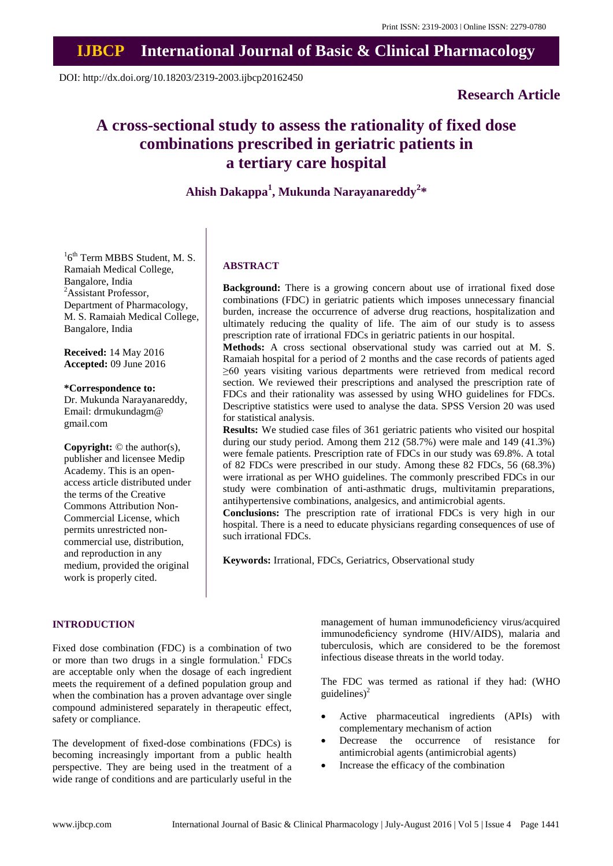# **IJBCP International Journal of Basic & Clinical Pharmacology**

DOI: http://dx.doi.org/10.18203/2319-2003.ijbcp20162450

# **Research Article**

# **A cross-sectional study to assess the rationality of fixed dose combinations prescribed in geriatric patients in a tertiary care hospital**

# **Ahish Dakappa<sup>1</sup> , Mukunda Narayanareddy<sup>2</sup> \***

<sup>1</sup>6<sup>th</sup> Term MBBS Student, M. S. Ramaiah Medical College, Bangalore, India <sup>2</sup>Assistant Professor, Department of Pharmacology, M. S. Ramaiah Medical College, Bangalore, India

**Received:** 14 May 2016 **Accepted:** 09 June 2016

**\*Correspondence to:**

Dr. Mukunda Narayanareddy, Email: drmukundagm@ gmail.com

**Copyright:** © the author(s), publisher and licensee Medip Academy. This is an openaccess article distributed under the terms of the Creative Commons Attribution Non-Commercial License, which permits unrestricted noncommercial use, distribution, and reproduction in any medium, provided the original work is properly cited.

# **ABSTRACT**

**Background:** There is a growing concern about use of irrational fixed dose combinations (FDC) in geriatric patients which imposes unnecessary financial burden, increase the occurrence of adverse drug reactions, hospitalization and ultimately reducing the quality of life. The aim of our study is to assess prescription rate of irrational FDCs in geriatric patients in our hospital.

**Methods:** A cross sectional observational study was carried out at M. S. Ramaiah hospital for a period of 2 months and the case records of patients aged ≥60 years visiting various departments were retrieved from medical record section. We reviewed their prescriptions and analysed the prescription rate of FDCs and their rationality was assessed by using WHO guidelines for FDCs. Descriptive statistics were used to analyse the data. SPSS Version 20 was used for statistical analysis.

**Results:** We studied case files of 361 geriatric patients who visited our hospital during our study period. Among them 212 (58.7%) were male and 149 (41.3%) were female patients. Prescription rate of FDCs in our study was 69.8%. A total of 82 FDCs were prescribed in our study. Among these 82 FDCs, 56 (68.3%) were irrational as per WHO guidelines. The commonly prescribed FDCs in our study were combination of anti-asthmatic drugs, multivitamin preparations, antihypertensive combinations, analgesics, and antimicrobial agents.

**Conclusions:** The prescription rate of irrational FDCs is very high in our hospital. There is a need to educate physicians regarding consequences of use of such irrational FDCs.

**Keywords:** Irrational, FDCs, Geriatrics, Observational study

### **INTRODUCTION**

Fixed dose combination (FDC) is a combination of two or more than two drugs in a single formulation.<sup>1</sup> FDCs are acceptable only when the dosage of each ingredient meets the requirement of a defined population group and when the combination has a proven advantage over single compound administered separately in therapeutic effect, safety or compliance.

The development of fixed-dose combinations (FDCs) is becoming increasingly important from a public health perspective. They are being used in the treatment of a wide range of conditions and are particularly useful in the management of human immunodeficiency virus/acquired immunodeficiency syndrome (HIV/AIDS), malaria and tuberculosis, which are considered to be the foremost infectious disease threats in the world today.

The FDC was termed as rational if they had: (WHO guidelines)<sup>2</sup>

- Active pharmaceutical ingredients (APIs) with complementary mechanism of action
- Decrease the occurrence of resistance for antimicrobial agents (antimicrobial agents)
- Increase the efficacy of the combination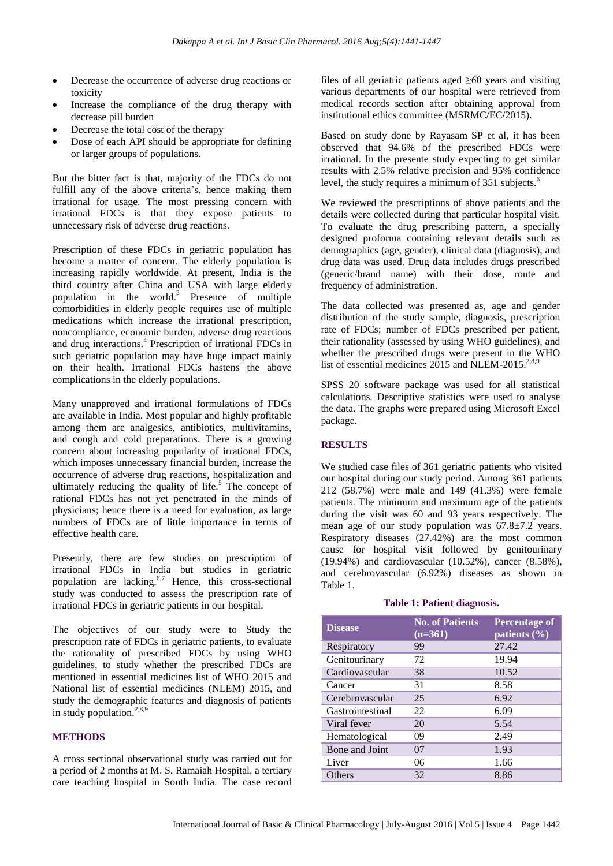- Decrease the occurrence of adverse drug reactions or toxicity
- Increase the compliance of the drug therapy with decrease pill burden
- Decrease the total cost of the therapy
- Dose of each API should be appropriate for defining or larger groups of populations.

But the bitter fact is that, majority of the FDCs do not fulfill any of the above criteria's, hence making them irrational for usage. The most pressing concern with irrational FDCs is that they expose patients to unnecessary risk of adverse drug reactions.

Prescription of these FDCs in geriatric population has become a matter of concern. The elderly population is increasing rapidly worldwide. At present, India is the third country after China and USA with large elderly population in the world.<sup>3</sup> Presence of multiple comorbidities in elderly people requires use of multiple medications which increase the irrational prescription, noncompliance, economic burden, adverse drug reactions and drug interactions.<sup>4</sup> Prescription of irrational FDCs in such geriatric population may have huge impact mainly on their health. Irrational FDCs hastens the above complications in the elderly populations.

Many unapproved and irrational formulations of FDCs are available in India. Most popular and highly profitable among them are analgesics, antibiotics, multivitamins, and cough and cold preparations. There is a growing concern about increasing popularity of irrational FDCs, which imposes unnecessary financial burden, increase the occurrence of adverse drug reactions, hospitalization and ultimately reducing the quality of life.<sup>5</sup> The concept of rational FDCs has not yet penetrated in the minds of physicians; hence there is a need for evaluation, as large numbers of FDCs are of little importance in terms of effective health care.

Presently, there are few studies on prescription of irrational FDCs in India but studies in geriatric population are lacking. $6,7$  Hence, this cross-sectional study was conducted to assess the prescription rate of irrational FDCs in geriatric patients in our hospital.

The objectives of our study were to Study the prescription rate of FDCs in geriatric patients, to evaluate the rationality of prescribed FDCs by using WHO guidelines, to study whether the prescribed FDCs are mentioned in essential medicines list of WHO 2015 and National list of essential medicines (NLEM) 2015, and study the demographic features and diagnosis of patients in study population.<sup>2,8,9</sup>

# **METHODS**

A cross sectional observational study was carried out for a period of 2 months at M. S. Ramaiah Hospital, a tertiary care teaching hospital in South India. The case record files of all geriatric patients aged  $\geq 60$  years and visiting various departments of our hospital were retrieved from medical records section after obtaining approval from institutional ethics committee (MSRMC/EC/2015).

Based on study done by Rayasam SP et al, it has been observed that 94.6% of the prescribed FDCs were irrational. In the presente study expecting to get similar results with 2.5% relative precision and 95% confidence level, the study requires a minimum of 351 subjects.<sup>6</sup>

We reviewed the prescriptions of above patients and the details were collected during that particular hospital visit. To evaluate the drug prescribing pattern, a specially designed proforma containing relevant details such as demographics (age, gender), clinical data (diagnosis), and drug data was used. Drug data includes drugs prescribed (generic/brand name) with their dose, route and frequency of administration.

The data collected was presented as, age and gender distribution of the study sample, diagnosis, prescription rate of FDCs; number of FDCs prescribed per patient, their rationality (assessed by using WHO guidelines), and whether the prescribed drugs were present in the WHO list of essential medicines 2015 and NLEM-2015.<sup>2,8,9</sup>

SPSS 20 software package was used for all statistical calculations. Descriptive statistics were used to analyse the data. The graphs were prepared using Microsoft Excel package.

# **RESULTS**

We studied case files of 361 geriatric patients who visited our hospital during our study period. Among 361 patients 212 (58.7%) were male and 149 (41.3%) were female patients. The minimum and maximum age of the patients during the visit was 60 and 93 years respectively. The mean age of our study population was 67.8±7.2 years. Respiratory diseases (27.42%) are the most common cause for hospital visit followed by genitourinary (19.94%) and cardiovascular (10.52%), cancer (8.58%), and cerebrovascular (6.92%) diseases as shown in Table 1.

#### **Table 1: Patient diagnosis.**

| <b>Disease</b>   | <b>No. of Patients</b><br>$(n=361)$ | <b>Percentage of</b><br>patients $(\% )$ |
|------------------|-------------------------------------|------------------------------------------|
| Respiratory      | 99                                  | 27.42                                    |
| Genitourinary    | 72                                  | 19.94                                    |
| Cardiovascular   | 38                                  | 10.52                                    |
| Cancer           | 31                                  | 8.58                                     |
| Cerebrovascular  | 25                                  | 6.92                                     |
| Gastrointestinal | 22                                  | 6.09                                     |
| Viral fever      | 20                                  | 5.54                                     |
| Hematological    | 09                                  | 2.49                                     |
| Bone and Joint   | 07                                  | 1.93                                     |
| Liver            | 06                                  | 1.66                                     |
| <b>Others</b>    | 32                                  | 8.86                                     |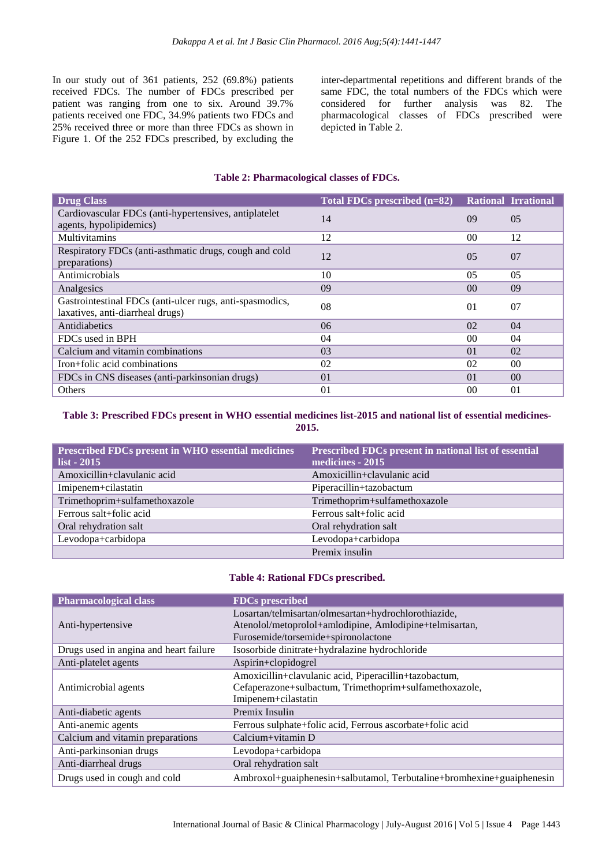In our study out of 361 patients, 252 (69.8%) patients received FDCs. The number of FDCs prescribed per patient was ranging from one to six. Around 39.7% patients received one FDC, 34.9% patients two FDCs and 25% received three or more than three FDCs as shown in Figure 1. Of the 252 FDCs prescribed, by excluding the

inter-departmental repetitions and different brands of the same FDC, the total numbers of the FDCs which were considered for further analysis was 82. The pharmacological classes of FDCs prescribed were depicted in Table 2.

# **Table 2: Pharmacological classes of FDCs.**

| <b>Drug Class</b>                                                                            | Total FDCs prescribed (n=82) |                 | <b>Rational Irrational</b> |
|----------------------------------------------------------------------------------------------|------------------------------|-----------------|----------------------------|
| Cardiovascular FDCs (anti-hypertensives, antiplatelet<br>agents, hypolipidemics)             | 14                           | 09              | 05                         |
| <b>Multivitamins</b>                                                                         | 12                           | 0 <sup>0</sup>  | 12                         |
| Respiratory FDCs (anti-asthmatic drugs, cough and cold<br>preparations)                      | 12                           | 0.5             | 07                         |
| Antimicrobials                                                                               | 10                           | 05              | 0 <sub>5</sub>             |
| Analgesics                                                                                   | 09                           | 00 <sup>1</sup> | 09                         |
| Gastrointestinal FDCs (anti-ulcer rugs, anti-spasmodics,<br>laxatives, anti-diarrheal drugs) | 08                           | 01              | 07                         |
| Antidiabetics                                                                                | 06                           | 02              | 04                         |
| FDCs used in BPH                                                                             | 04                           | 00 <sup>2</sup> | 04                         |
| Calcium and vitamin combinations                                                             | 03                           | 01              | 02                         |
| Iron+folic acid combinations                                                                 | 02                           | 02              | 0 <sup>0</sup>             |
| FDCs in CNS diseases (anti-parkinsonian drugs)                                               | 0 <sub>1</sub>               | 01              | 0 <sup>0</sup>             |
| <b>Others</b>                                                                                | 0 <sub>1</sub>               | 0 <sup>0</sup>  | 0 <sub>1</sub>             |

#### **Table 3: Prescribed FDCs present in WHO essential medicines list-2015 and national list of essential medicines-2015.**

| <b>Prescribed FDCs present in WHO essential medicines</b><br>$list - 2015$ | Prescribed FDCs present in national list of essential<br>medicines - 2015 |
|----------------------------------------------------------------------------|---------------------------------------------------------------------------|
| Amoxicillin+clavulanic acid                                                | Amoxicillin+clavulanic acid                                               |
| Imipenem+cilastatin                                                        | Piperacillin+tazobactum                                                   |
| Trimethoprim+sulfamethoxazole                                              | Trimethoprim+sulfamethoxazole                                             |
| Ferrous salt+folic acid                                                    | Ferrous salt+folic acid                                                   |
| Oral rehydration salt                                                      | Oral rehydration salt                                                     |
| Levodopa+carbidopa                                                         | Levodopa+carbidopa                                                        |
|                                                                            | Premix insulin                                                            |

### **Table 4: Rational FDCs prescribed.**

| <b>Pharmacological class</b>           | <b>FDCs</b> prescribed                                                |
|----------------------------------------|-----------------------------------------------------------------------|
|                                        | Losartan/telmisartan/olmesartan+hydrochlorothiazide,                  |
| Anti-hypertensive                      | Atenolol/metoprolol+amlodipine, Amlodipine+telmisartan,               |
|                                        | Furosemide/torsemide+spironolactone                                   |
| Drugs used in angina and heart failure | Isosorbide dinitrate+hydralazine hydrochloride                        |
| Anti-platelet agents                   | Aspirin+clopidogrel                                                   |
|                                        | Amoxicillin+clavulanic acid, Piperacillin+tazobactum,                 |
| Antimicrobial agents                   | Cefaperazone+sulbactum, Trimethoprim+sulfamethoxazole,                |
|                                        | Imipenem+cilastatin                                                   |
| Anti-diabetic agents                   | Premix Insulin                                                        |
| Anti-anemic agents                     | Ferrous sulphate+folic acid, Ferrous ascorbate+folic acid             |
| Calcium and vitamin preparations       | Calcium+vitamin D                                                     |
| Anti-parkinsonian drugs                | Levodopa+carbidopa                                                    |
| Anti-diarrheal drugs                   | Oral rehydration salt                                                 |
| Drugs used in cough and cold           | Ambroxol+guaiphenesin+salbutamol, Terbutaline+bromhexine+guaiphenesin |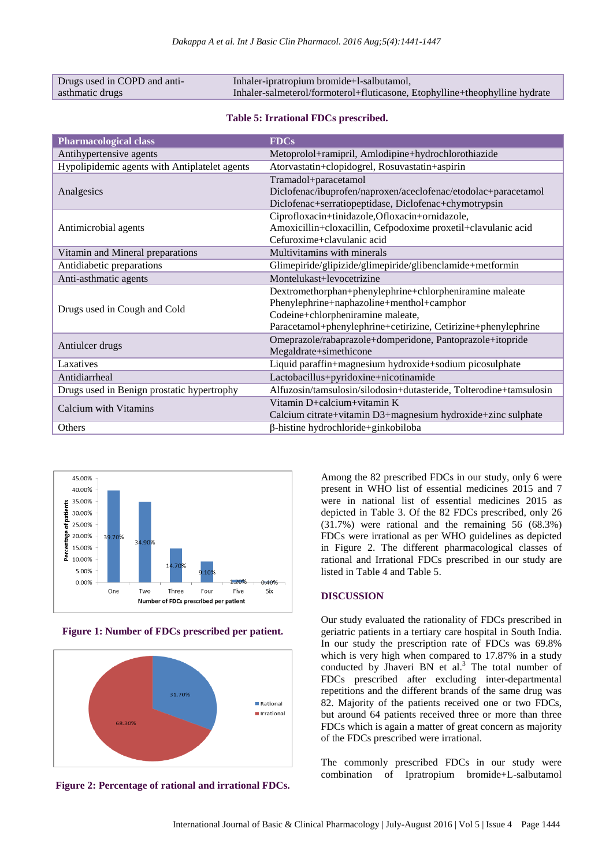| Drugs used in COPD and anti- | Inhaler-ipratropium bromide+l-salbutamol,                                   |
|------------------------------|-----------------------------------------------------------------------------|
| asthmatic drugs              | Inhaler-salmeterol/formoterol+fluticasone, Etophylline+theophylline hydrate |

**Table 5: Irrational FDCs prescribed.**

| <b>Pharmacological class</b>                  | <b>FDCs</b>                                                        |
|-----------------------------------------------|--------------------------------------------------------------------|
| Antihypertensive agents                       | Metoprolol+ramipril, Amlodipine+hydrochlorothiazide                |
| Hypolipidemic agents with Antiplatelet agents | Atorvastatin+clopidogrel, Rosuvastatin+aspirin                     |
|                                               | Tramadol+paracetamol                                               |
| Analgesics                                    | Diclofenac/ibuprofen/naproxen/aceclofenac/etodolac+paracetamol     |
|                                               | Diclofenac+serratiopeptidase, Diclofenac+chymotrypsin              |
|                                               | Ciprofloxacin+tinidazole,Ofloxacin+ornidazole,                     |
| Antimicrobial agents                          | Amoxicillin+cloxacillin, Cefpodoxime proxetil+clavulanic acid      |
|                                               | Cefuroxime+clavulanic acid                                         |
| Vitamin and Mineral preparations              | Multivitamins with minerals                                        |
| Antidiabetic preparations                     | Glimepiride/glipizide/glimepiride/glibenclamide+metformin          |
| Anti-asthmatic agents                         | Montelukast+levocetrizine                                          |
| Drugs used in Cough and Cold                  | Dextromethorphan+phenylephrine+chlorpheniramine maleate            |
|                                               | Phenylephrine+naphazoline+menthol+camphor                          |
|                                               | Codeine+chlorpheniramine maleate,                                  |
|                                               | Paracetamol+phenylephrine+cetirizine, Cetirizine+phenylephrine     |
| Antiulcer drugs                               | Omeprazole/rabaprazole+domperidone, Pantoprazole+itopride          |
|                                               | Megaldrate+simethicone                                             |
| Laxatives                                     | Liquid paraffin+magnesium hydroxide+sodium picosulphate            |
| Antidiarrheal                                 | Lactobacillus+pyridoxine+nicotinamide                              |
| Drugs used in Benign prostatic hypertrophy    | Alfuzosin/tamsulosin/silodosin+dutasteride, Tolterodine+tamsulosin |
|                                               | Vitamin D+calcium+vitamin K                                        |
| Calcium with Vitamins                         | Calcium citrate+vitamin D3+magnesium hydroxide+zinc sulphate       |
| Others                                        | β-histine hydrochloride+ginkobiloba                                |



**Figure 1: Number of FDCs prescribed per patient.**



**Figure 2: Percentage of rational and irrational FDCs.**

Among the 82 prescribed FDCs in our study, only 6 were present in WHO list of essential medicines 2015 and 7 were in national list of essential medicines 2015 as depicted in Table 3. Of the 82 FDCs prescribed, only 26 (31.7%) were rational and the remaining 56 (68.3%) FDCs were irrational as per WHO guidelines as depicted in Figure 2. The different pharmacological classes of rational and Irrational FDCs prescribed in our study are listed in Table 4 and Table 5.

# **DISCUSSION**

Our study evaluated the rationality of FDCs prescribed in geriatric patients in a tertiary care hospital in South India. In our study the prescription rate of FDCs was 69.8% which is very high when compared to 17.87% in a study conducted by Jhaveri BN et al. $3$  The total number of FDCs prescribed after excluding inter-departmental repetitions and the different brands of the same drug was 82. Majority of the patients received one or two FDCs, but around 64 patients received three or more than three FDCs which is again a matter of great concern as majority of the FDCs prescribed were irrational.

The commonly prescribed FDCs in our study were combination of Ipratropium bromide+L-salbutamol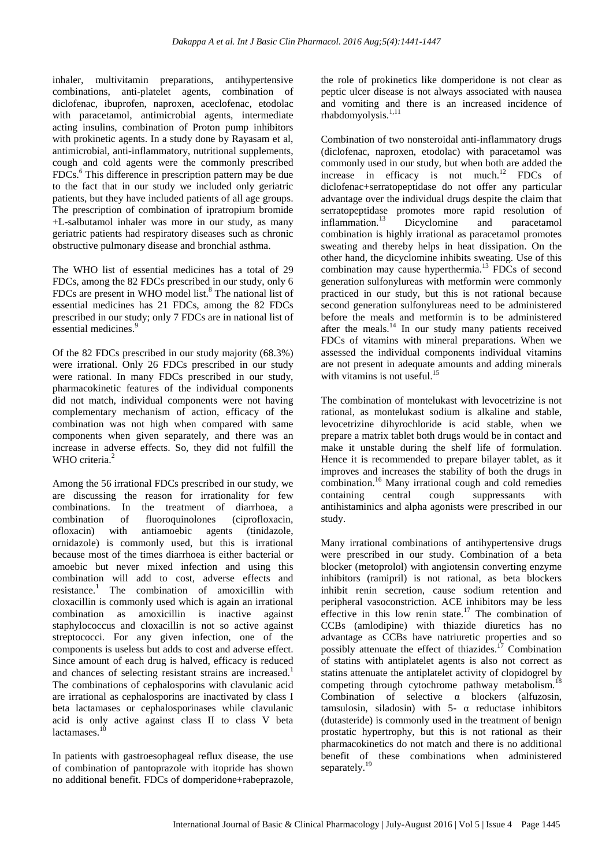inhaler, multivitamin preparations, antihypertensive combinations, anti-platelet agents, combination of diclofenac, ibuprofen, naproxen, aceclofenac, etodolac with paracetamol, antimicrobial agents, intermediate acting insulins, combination of Proton pump inhibitors with prokinetic agents. In a study done by Rayasam et al, antimicrobial, anti-inflammatory, nutritional supplements, cough and cold agents were the commonly prescribed FDCs.<sup>6</sup> This difference in prescription pattern may be due to the fact that in our study we included only geriatric patients, but they have included patients of all age groups. The prescription of combination of ipratropium bromide +L-salbutamol inhaler was more in our study, as many geriatric patients had respiratory diseases such as chronic obstructive pulmonary disease and bronchial asthma.

The WHO list of essential medicines has a total of 29 FDCs, among the 82 FDCs prescribed in our study, only 6 FDCs are present in WHO model list.<sup>8</sup> The national list of essential medicines has 21 FDCs, among the 82 FDCs prescribed in our study; only 7 FDCs are in national list of essential medicines.<sup>9</sup>

Of the 82 FDCs prescribed in our study majority (68.3%) were irrational. Only 26 FDCs prescribed in our study were rational. In many FDCs prescribed in our study, pharmacokinetic features of the individual components did not match, individual components were not having complementary mechanism of action, efficacy of the combination was not high when compared with same components when given separately, and there was an increase in adverse effects. So, they did not fulfill the WHO criteria.<sup>2</sup>

Among the 56 irrational FDCs prescribed in our study, we are discussing the reason for irrationality for few combinations. In the treatment of diarrhoea, a combination of fluoroquinolones (ciprofloxacin, ofloxacin) with antiamoebic agents (tinidazole, ornidazole) is commonly used, but this is irrational because most of the times diarrhoea is either bacterial or amoebic but never mixed infection and using this combination will add to cost, adverse effects and resistance.<sup>1</sup> The combination of amoxicillin with cloxacillin is commonly used which is again an irrational combination as amoxicillin is inactive against staphylococcus and cloxacillin is not so active against streptococci. For any given infection, one of the components is useless but adds to cost and adverse effect. Since amount of each drug is halved, efficacy is reduced and chances of selecting resistant strains are increased.<sup>1</sup> The combinations of cephalosporins with clavulanic acid are irrational as cephalosporins are inactivated by class I beta lactamases or cephalosporinases while clavulanic acid is only active against class II to class V beta lactamases.<sup>10</sup>

In patients with gastroesophageal reflux disease, the use of combination of pantoprazole with itopride has shown no additional benefit. FDCs of domperidone+rabeprazole,

the role of prokinetics like domperidone is not clear as peptic ulcer disease is not always associated with nausea and vomiting and there is an increased incidence of rhabdomyolysis.1,11

Combination of two nonsteroidal anti-inflammatory drugs (diclofenac, naproxen, etodolac) with paracetamol was commonly used in our study, but when both are added the increase in efficacy is not much. $^{12}$  FDCs of diclofenac+serratopeptidase do not offer any particular advantage over the individual drugs despite the claim that serratopeptidase promotes more rapid resolution of inflammation.<sup>13</sup> Dicyclomine and paracetamol combination is highly irrational as paracetamol promotes sweating and thereby helps in heat dissipation. On the other hand, the dicyclomine inhibits sweating. Use of this combination may cause hyperthermia.<sup>13</sup> FDCs of second generation sulfonylureas with metformin were commonly practiced in our study, but this is not rational because second generation sulfonylureas need to be administered before the meals and metformin is to be administered after the meals.<sup>14</sup> In our study many patients received FDCs of vitamins with mineral preparations. When we assessed the individual components individual vitamins are not present in adequate amounts and adding minerals with vitamins is not useful.<sup>15</sup>

The combination of montelukast with levocetrizine is not rational, as montelukast sodium is alkaline and stable, levocetrizine dihyrochloride is acid stable, when we prepare a matrix tablet both drugs would be in contact and make it unstable during the shelf life of formulation. Hence it is recommended to prepare bilayer tablet, as it improves and increases the stability of both the drugs in combination.<sup>16</sup> Many irrational cough and cold remedies containing central cough suppressants with antihistaminics and alpha agonists were prescribed in our study.

Many irrational combinations of antihypertensive drugs were prescribed in our study. Combination of a beta blocker (metoprolol) with angiotensin converting enzyme inhibitors (ramipril) is not rational, as beta blockers inhibit renin secretion, cause sodium retention and peripheral vasoconstriction. ACE inhibitors may be less effective in this low renin state.<sup>17</sup> The combination of CCBs (amlodipine) with thiazide diuretics has no advantage as CCBs have natriuretic properties and so possibly attenuate the effect of thiazides.<sup>17</sup> Combination of statins with antiplatelet agents is also not correct as statins attenuate the antiplatelet activity of clopidogrel by competing through cytochrome pathway metabolism.<sup>18</sup> Combination of selective α blockers (alfuzosin, tamsulosin, siladosin) with  $5-\alpha$  reductase inhibitors (dutasteride) is commonly used in the treatment of benign prostatic hypertrophy, but this is not rational as their pharmacokinetics do not match and there is no additional benefit of these combinations when administered separately.<sup>19</sup>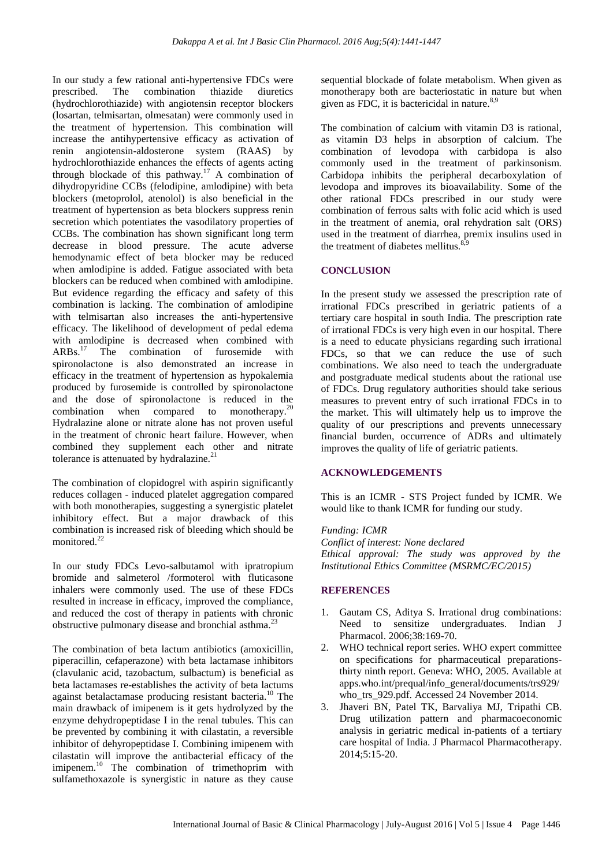In our study a few rational anti-hypertensive FDCs were prescribed. The combination thiazide diuretics (hydrochlorothiazide) with angiotensin receptor blockers (losartan, telmisartan, olmesatan) were commonly used in the treatment of hypertension. This combination will increase the antihypertensive efficacy as activation of renin angiotensin-aldosterone system (RAAS) by hydrochlorothiazide enhances the effects of agents acting through blockade of this pathway.<sup>17</sup> A combination of dihydropyridine CCBs (felodipine, amlodipine) with beta blockers (metoprolol, atenolol) is also beneficial in the treatment of hypertension as beta blockers suppress renin secretion which potentiates the vasodilatory properties of CCBs. The combination has shown significant long term decrease in blood pressure. The acute adverse hemodynamic effect of beta blocker may be reduced when amlodipine is added. Fatigue associated with beta blockers can be reduced when combined with amlodipine. But evidence regarding the efficacy and safety of this combination is lacking. The combination of amlodipine with telmisartan also increases the anti-hypertensive efficacy. The likelihood of development of pedal edema with amlodipine is decreased when combined with ARBs.<sup>17</sup> The combination of furosemide with spironolactone is also demonstrated an increase in efficacy in the treatment of hypertension as hypokalemia produced by furosemide is controlled by spironolactone and the dose of spironolactone is reduced in the combination when compared to monotherapy.<sup>20</sup> Hydralazine alone or nitrate alone has not proven useful in the treatment of chronic heart failure. However, when combined they supplement each other and nitrate tolerance is attenuated by hydralazine. $21$ 

The combination of clopidogrel with aspirin significantly reduces collagen - induced platelet aggregation compared with both monotherapies, suggesting a synergistic platelet inhibitory effect. But a major drawback of this combination is increased risk of bleeding which should be monitored.<sup>22</sup>

In our study FDCs Levo-salbutamol with ipratropium bromide and salmeterol /formoterol with fluticasone inhalers were commonly used. The use of these FDCs resulted in increase in efficacy, improved the compliance, and reduced the cost of therapy in patients with chronic obstructive pulmonary disease and bronchial asthma.<sup>23</sup>

The combination of beta lactum antibiotics (amoxicillin, piperacillin, cefaperazone) with beta lactamase inhibitors (clavulanic acid, tazobactum, sulbactum) is beneficial as beta lactamases re-establishes the activity of beta lactums against betalactamase producing resistant bacteria.<sup>10</sup> The main drawback of imipenem is it gets hydrolyzed by the enzyme dehydropeptidase I in the renal tubules. This can be prevented by combining it with cilastatin, a reversible inhibitor of dehyropeptidase I. Combining imipenem with cilastatin will improve the antibacterial efficacy of the imipenem.<sup>10</sup> The combination of trimethoprim with sulfamethoxazole is synergistic in nature as they cause

sequential blockade of folate metabolism. When given as monotherapy both are bacteriostatic in nature but when given as FDC, it is bactericidal in nature.<sup>8,9</sup>

The combination of calcium with vitamin D3 is rational, as vitamin D3 helps in absorption of calcium. The combination of levodopa with carbidopa is also commonly used in the treatment of parkinsonism. Carbidopa inhibits the peripheral decarboxylation of levodopa and improves its bioavailability. Some of the other rational FDCs prescribed in our study were combination of ferrous salts with folic acid which is used in the treatment of anemia, oral rehydration salt (ORS) used in the treatment of diarrhea, premix insulins used in the treatment of diabetes mellitus. $8,9$ 

# **CONCLUSION**

In the present study we assessed the prescription rate of irrational FDCs prescribed in geriatric patients of a tertiary care hospital in south India. The prescription rate of irrational FDCs is very high even in our hospital. There is a need to educate physicians regarding such irrational FDCs, so that we can reduce the use of such combinations. We also need to teach the undergraduate and postgraduate medical students about the rational use of FDCs. Drug regulatory authorities should take serious measures to prevent entry of such irrational FDCs in to the market. This will ultimately help us to improve the quality of our prescriptions and prevents unnecessary financial burden, occurrence of ADRs and ultimately improves the quality of life of geriatric patients.

# **ACKNOWLEDGEMENTS**

This is an ICMR - STS Project funded by ICMR. We would like to thank ICMR for funding our study.

#### *Funding: ICMR*

*Conflict of interest: None declared Ethical approval: The study was approved by the Institutional Ethics Committee (MSRMC/EC/2015)*

#### **REFERENCES**

- 1. Gautam CS, Aditya S. Irrational drug combinations: Need to sensitize undergraduates. Indian J Pharmacol. 2006;38:169-70.
- 2. WHO technical report series. WHO expert committee on specifications for pharmaceutical preparationsthirty ninth report. Geneva: WHO, 2005. Available at apps.who.int/prequal/info\_general/documents/trs929/ who trs 929.pdf. Accessed 24 November 2014.
- 3. Jhaveri BN, Patel TK, Barvaliya MJ, Tripathi CB. Drug utilization pattern and pharmacoeconomic analysis in geriatric medical in-patients of a tertiary care hospital of India. J Pharmacol Pharmacotherapy. 2014;5:15-20.